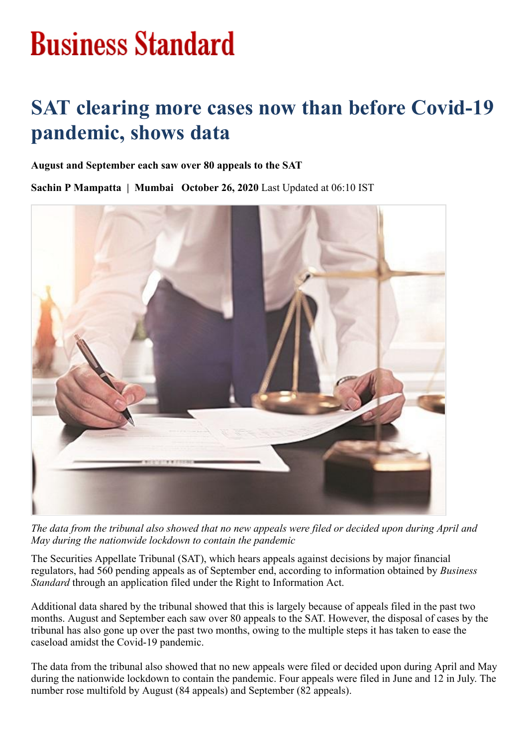## **Business Standard**

## **SAT clearing more cases now than before Covid-19 pandemic, shows data**

## **August and September each saw over 80 appeals to the SAT**

**Sachin P Mampatta | Mumbai October 26, 2020** Last Updated at 06:10 IST



*The data from the tribunal also showed that no new appeals were filed or decided upon during April and May during the nationwide lockdown to contain the pandemic*

The Securities Appellate Tribunal (SAT), which hears appeals against decisions by major financial regulators, had 560 pending appeals as of September end, according to information obtained by *Business Standard* through an application filed under the Right to Information Act.

Additional data shared by the tribunal showed that this is largely because of appeals filed in the past two months. August and September each saw over 80 appeals to the SAT. However, the disposal of cases by the tribunal has also gone up over the past two months, owing to the multiple steps it has taken to ease the caseload amidst the Covid-19 pandemic.

The data from the tribunal also showed that no new appeals were filed or decided upon during April and May during the nationwide lockdown to contain the pandemic. Four appeals were filed in June and 12 in July. The number rose multifold by August (84 appeals) and September (82 appeals).